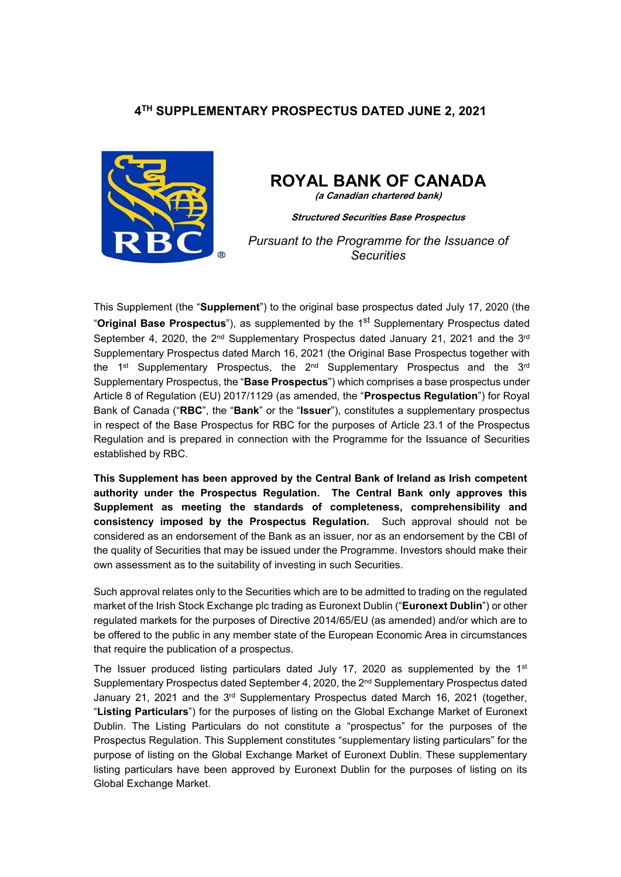## **4 TH SUPPLEMENTARY PROSPECTUS DATED JUNE 2, 2021**



# **ROYAL BANK OF CANADA**

**(a Canadian chartered bank)**

**Structured Securities Base Prospectus**

*Pursuant to the Programme for the Issuance of Securities*

This Supplement (the "**Supplement**") to the original base prospectus dated July 17, 2020 (the "**Original Base Prospectus**"), as supplemented by the 1<sup>st</sup> Supplementary Prospectus dated September 4, 2020, the 2<sup>nd</sup> Supplementary Prospectus dated January 21, 2021 and the 3<sup>rd</sup> Supplementary Prospectus dated March 16, 2021 (the Original Base Prospectus together with the 1st Supplementary Prospectus, the 2<sup>nd</sup> Supplementary Prospectus and the 3<sup>rd</sup> Supplementary Prospectus, the "**Base Prospectus**") which comprises a base prospectus under Article 8 of Regulation (EU) 2017/1129 (as amended, the "**Prospectus Regulation**") for Royal Bank of Canada ("**RBC**", the "**Bank**" or the "**Issuer**"), constitutes a supplementary prospectus in respect of the Base Prospectus for RBC for the purposes of Article 23.1 of the Prospectus Regulation and is prepared in connection with the Programme for the Issuance of Securities established by RBC.

**This Supplement has been approved by the Central Bank of Ireland as Irish competent authority under the Prospectus Regulation. The Central Bank only approves this Supplement as meeting the standards of completeness, comprehensibility and consistency imposed by the Prospectus Regulation.** Such approval should not be considered as an endorsement of the Bank as an issuer, nor as an endorsement by the CBI of the quality of Securities that may be issued under the Programme. Investors should make their own assessment as to the suitability of investing in such Securities.

Such approval relates only to the Securities which are to be admitted to trading on the regulated market of the Irish Stock Exchange plc trading as Euronext Dublin ("**Euronext Dublin**") or other regulated markets for the purposes of Directive 2014/65/EU (as amended) and/or which are to be offered to the public in any member state of the European Economic Area in circumstances that require the publication of a prospectus.

The Issuer produced listing particulars dated July 17, 2020 as supplemented by the  $1<sup>st</sup>$ Supplementary Prospectus dated September 4, 2020, the  $2<sup>nd</sup>$  Supplementary Prospectus dated January 21, 2021 and the  $3<sup>rd</sup>$  Supplementary Prospectus dated March 16, 2021 (together, "**Listing Particulars**") for the purposes of listing on the Global Exchange Market of Euronext Dublin. The Listing Particulars do not constitute a "prospectus" for the purposes of the Prospectus Regulation. This Supplement constitutes "supplementary listing particulars" for the purpose of listing on the Global Exchange Market of Euronext Dublin. These supplementary listing particulars have been approved by Euronext Dublin for the purposes of listing on its Global Exchange Market.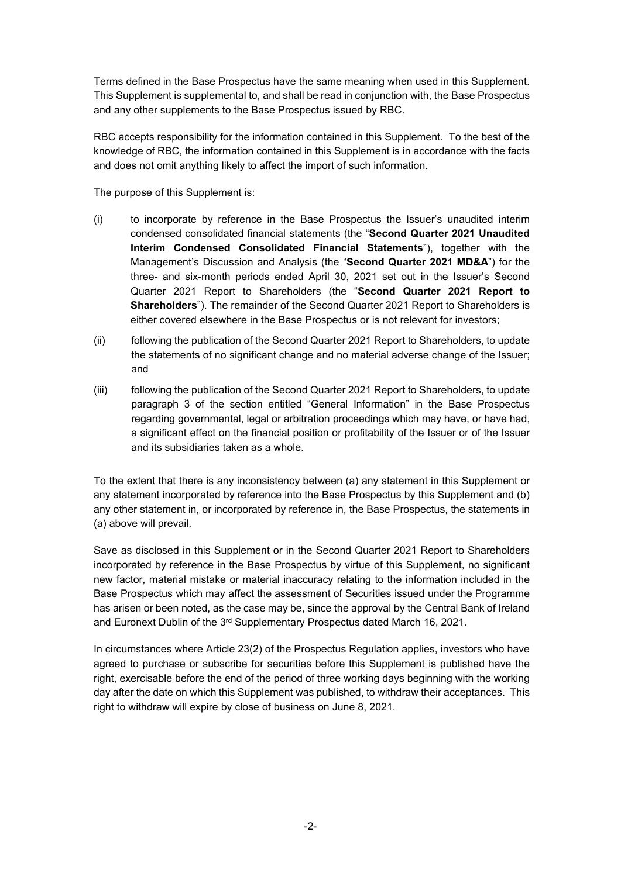Terms defined in the Base Prospectus have the same meaning when used in this Supplement. This Supplement is supplemental to, and shall be read in conjunction with, the Base Prospectus and any other supplements to the Base Prospectus issued by RBC.

RBC accepts responsibility for the information contained in this Supplement. To the best of the knowledge of RBC, the information contained in this Supplement is in accordance with the facts and does not omit anything likely to affect the import of such information.

The purpose of this Supplement is:

- (i) to incorporate by reference in the Base Prospectus the Issuer's unaudited interim condensed consolidated financial statements (the "**Second Quarter 2021 Unaudited Interim Condensed Consolidated Financial Statements**"), together with the Management's Discussion and Analysis (the "**Second Quarter 2021 MD&A**") for the three- and six-month periods ended April 30, 2021 set out in the Issuer's Second Quarter 2021 Report to Shareholders (the "**Second Quarter 2021 Report to Shareholders**"). The remainder of the Second Quarter 2021 Report to Shareholders is either covered elsewhere in the Base Prospectus or is not relevant for investors;
- (ii) following the publication of the Second Quarter 2021 Report to Shareholders, to update the statements of no significant change and no material adverse change of the Issuer; and
- (iii) following the publication of the Second Quarter 2021 Report to Shareholders, to update paragraph 3 of the section entitled "General Information" in the Base Prospectus regarding governmental, legal or arbitration proceedings which may have, or have had, a significant effect on the financial position or profitability of the Issuer or of the Issuer and its subsidiaries taken as a whole.

To the extent that there is any inconsistency between (a) any statement in this Supplement or any statement incorporated by reference into the Base Prospectus by this Supplement and (b) any other statement in, or incorporated by reference in, the Base Prospectus, the statements in (a) above will prevail.

Save as disclosed in this Supplement or in the Second Quarter 2021 Report to Shareholders incorporated by reference in the Base Prospectus by virtue of this Supplement, no significant new factor, material mistake or material inaccuracy relating to the information included in the Base Prospectus which may affect the assessment of Securities issued under the Programme has arisen or been noted, as the case may be, since the approval by the Central Bank of Ireland and Euronext Dublin of the 3<sup>rd</sup> Supplementary Prospectus dated March 16, 2021.

In circumstances where Article 23(2) of the Prospectus Regulation applies, investors who have agreed to purchase or subscribe for securities before this Supplement is published have the right, exercisable before the end of the period of three working days beginning with the working day after the date on which this Supplement was published, to withdraw their acceptances. This right to withdraw will expire by close of business on June 8, 2021.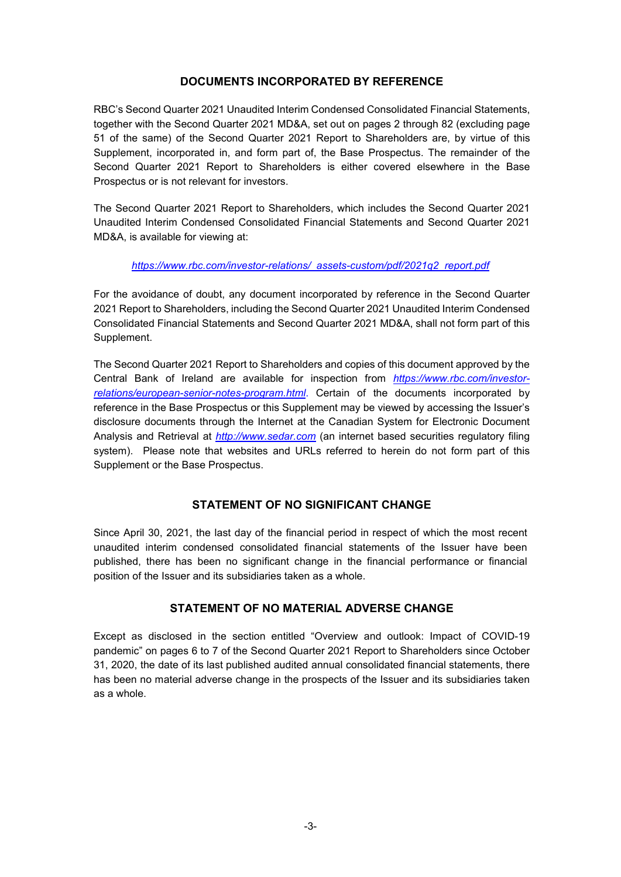### **DOCUMENTS INCORPORATED BY REFERENCE**

RBC's Second Quarter 2021 Unaudited Interim Condensed Consolidated Financial Statements, together with the Second Quarter 2021 MD&A, set out on pages 2 through 82 (excluding page 51 of the same) of the Second Quarter 2021 Report to Shareholders are, by virtue of this Supplement, incorporated in, and form part of, the Base Prospectus. The remainder of the Second Quarter 2021 Report to Shareholders is either covered elsewhere in the Base Prospectus or is not relevant for investors.

The Second Quarter 2021 Report to Shareholders, which includes the Second Quarter 2021 Unaudited Interim Condensed Consolidated Financial Statements and Second Quarter 2021 MD&A, is available for viewing at:

#### *https://www.rbc.com/investor-relations/\_assets-custom/pdf/2021q2\_report.pdf*

For the avoidance of doubt, any document incorporated by reference in the Second Quarter 2021 Report to Shareholders, including the Second Quarter 2021 Unaudited Interim Condensed Consolidated Financial Statements and Second Quarter 2021 MD&A, shall not form part of this Supplement.

The Second Quarter 2021 Report to Shareholders and copies of this document approved by the Central Bank of Ireland are available for inspection from *https://www.rbc.com/investorrelations/european-senior-notes-program.html*. Certain of the documents incorporated by reference in the Base Prospectus or this Supplement may be viewed by accessing the Issuer's disclosure documents through the Internet at the Canadian System for Electronic Document Analysis and Retrieval at *http://www.sedar.com* (an internet based securities regulatory filing system). Please note that websites and URLs referred to herein do not form part of this Supplement or the Base Prospectus.

## **STATEMENT OF NO SIGNIFICANT CHANGE**

Since April 30, 2021, the last day of the financial period in respect of which the most recent unaudited interim condensed consolidated financial statements of the Issuer have been published, there has been no significant change in the financial performance or financial position of the Issuer and its subsidiaries taken as a whole.

## **STATEMENT OF NO MATERIAL ADVERSE CHANGE**

Except as disclosed in the section entitled "Overview and outlook: Impact of COVID-19 pandemic" on pages 6 to 7 of the Second Quarter 2021 Report to Shareholders since October 31, 2020, the date of its last published audited annual consolidated financial statements, there has been no material adverse change in the prospects of the Issuer and its subsidiaries taken as a whole.